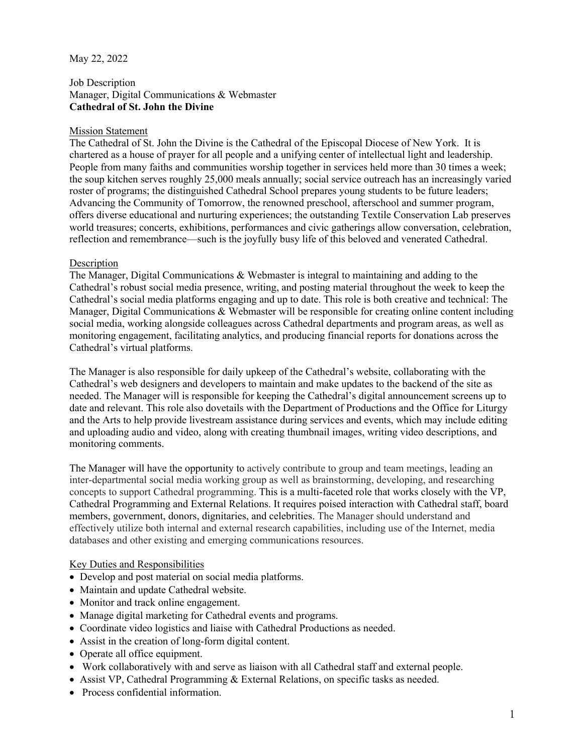## May 22, 2022

# Job Description Manager, Digital Communications & Webmaster **Cathedral of St. John the Divine**

## Mission Statement

The Cathedral of St. John the Divine is the Cathedral of the Episcopal Diocese of New York. It is chartered as a house of prayer for all people and a unifying center of intellectual light and leadership. People from many faiths and communities worship together in services held more than 30 times a week; the soup kitchen serves roughly 25,000 meals annually; social service outreach has an increasingly varied roster of programs; the distinguished Cathedral School prepares young students to be future leaders; Advancing the Community of Tomorrow, the renowned preschool, afterschool and summer program, offers diverse educational and nurturing experiences; the outstanding Textile Conservation Lab preserves world treasures; concerts, exhibitions, performances and civic gatherings allow conversation, celebration, reflection and remembrance—such is the joyfully busy life of this beloved and venerated Cathedral.

#### **Description**

The Manager, Digital Communications & Webmaster is integral to maintaining and adding to the Cathedral's robust social media presence, writing, and posting material throughout the week to keep the Cathedral's social media platforms engaging and up to date. This role is both creative and technical: The Manager, Digital Communications & Webmaster will be responsible for creating online content including social media, working alongside colleagues across Cathedral departments and program areas, as well as monitoring engagement, facilitating analytics, and producing financial reports for donations across the Cathedral's virtual platforms.

The Manager is also responsible for daily upkeep of the Cathedral's website, collaborating with the Cathedral's web designers and developers to maintain and make updates to the backend of the site as needed. The Manager will is responsible for keeping the Cathedral's digital announcement screens up to date and relevant. This role also dovetails with the Department of Productions and the Office for Liturgy and the Arts to help provide livestream assistance during services and events, which may include editing and uploading audio and video, along with creating thumbnail images, writing video descriptions, and monitoring comments.

The Manager will have the opportunity to actively contribute to group and team meetings, leading an inter-departmental social media working group as well as brainstorming, developing, and researching concepts to support Cathedral programming. This is a multi-faceted role that works closely with the VP, Cathedral Programming and External Relations. It requires poised interaction with Cathedral staff, board members, government, donors, dignitaries, and celebrities. The Manager should understand and effectively utilize both internal and external research capabilities, including use of the Internet, media databases and other existing and emerging communications resources.

# Key Duties and Responsibilities

- Develop and post material on social media platforms.
- Maintain and update Cathedral website.
- Monitor and track online engagement.
- Manage digital marketing for Cathedral events and programs.
- Coordinate video logistics and liaise with Cathedral Productions as needed.
- Assist in the creation of long-form digital content.
- Operate all office equipment.
- Work collaboratively with and serve as liaison with all Cathedral staff and external people.
- Assist VP, Cathedral Programming & External Relations, on specific tasks as needed.
- Process confidential information.